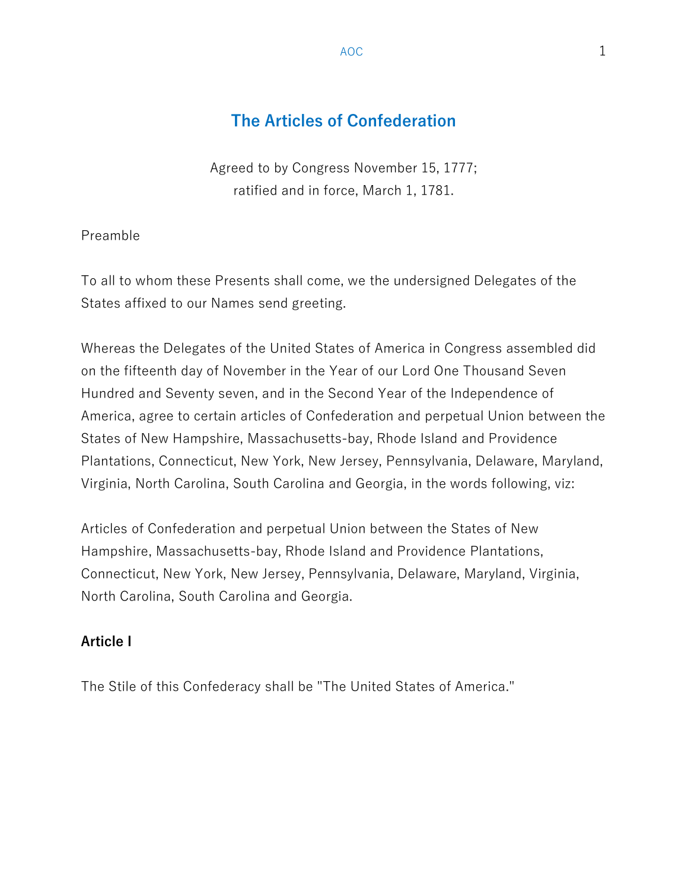# The Articles of Confederation

Agreed to by Congress November 15, 1777; ratified and in force, March 1, 1781.

Preamble

To all to whom these Presents shall come, we the undersigned Delegates of the States affixed to our Names send greeting.

Whereas the Delegates of the United States of America in Congress assembled did on the fifteenth day of November in the Year of our Lord One Thousand Seven Hundred and Seventy seven, and in the Second Year of the Independence of America, agree to certain articles of Confederation and perpetual Union between the States of New Hampshire, Massachusetts-bay, Rhode Island and Providence Plantations, Connecticut, New York, New Jersey, Pennsylvania, Delaware, Maryland, Virginia, North Carolina, South Carolina and Georgia, in the words following, viz:

Articles of Confederation and perpetual Union between the States of New Hampshire, Massachusetts-bay, Rhode Island and Providence Plantations, Connecticut, New York, New Jersey, Pennsylvania, Delaware, Maryland, Virginia, North Carolina, South Carolina and Georgia.

### Article I

The Stile of this Confederacy shall be "The United States of America."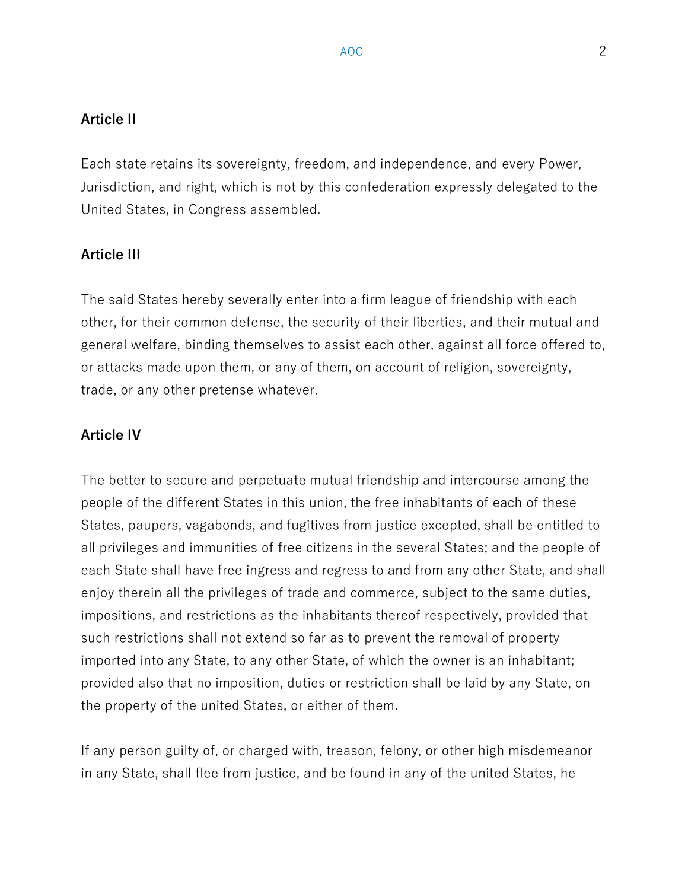## Article II

Each state retains its sovereignty, freedom, and independence, and every Power, Jurisdiction, and right, which is not by this confederation expressly delegated to the United States, in Congress assembled.

# Article III

The said States hereby severally enter into a firm league of friendship with each other, for their common defense, the security of their liberties, and their mutual and general welfare, binding themselves to assist each other, against all force offered to, or attacks made upon them, or any of them, on account of religion, sovereignty, trade, or any other pretense whatever.

# Article IV

The better to secure and perpetuate mutual friendship and intercourse among the people of the different States in this union, the free inhabitants of each of these States, paupers, vagabonds, and fugitives from justice excepted, shall be entitled to all privileges and immunities of free citizens in the several States; and the people of each State shall have free ingress and regress to and from any other State, and shall enjoy therein all the privileges of trade and commerce, subject to the same duties, impositions, and restrictions as the inhabitants thereof respectively, provided that such restrictions shall not extend so far as to prevent the removal of property imported into any State, to any other State, of which the owner is an inhabitant; provided also that no imposition, duties or restriction shall be laid by any State, on the property of the united States, or either of them.

If any person guilty of, or charged with, treason, felony, or other high misdemeanor in any State, shall flee from justice, and be found in any of the united States, he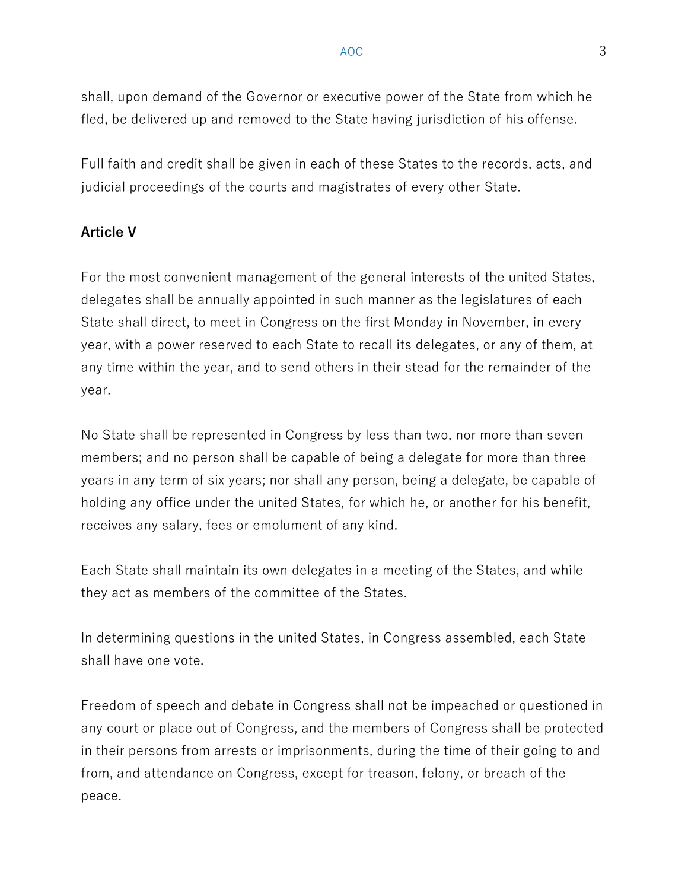shall, upon demand of the Governor or executive power of the State from which he fled, be delivered up and removed to the State having jurisdiction of his offense.

Full faith and credit shall be given in each of these States to the records, acts, and judicial proceedings of the courts and magistrates of every other State.

## Article V

For the most convenient management of the general interests of the united States, delegates shall be annually appointed in such manner as the legislatures of each State shall direct, to meet in Congress on the first Monday in November, in every year, with a power reserved to each State to recall its delegates, or any of them, at any time within the year, and to send others in their stead for the remainder of the year.

No State shall be represented in Congress by less than two, nor more than seven members; and no person shall be capable of being a delegate for more than three years in any term of six years; nor shall any person, being a delegate, be capable of holding any office under the united States, for which he, or another for his benefit, receives any salary, fees or emolument of any kind.

Each State shall maintain its own delegates in a meeting of the States, and while they act as members of the committee of the States.

In determining questions in the united States, in Congress assembled, each State shall have one vote.

Freedom of speech and debate in Congress shall not be impeached or questioned in any court or place out of Congress, and the members of Congress shall be protected in their persons from arrests or imprisonments, during the time of their going to and from, and attendance on Congress, except for treason, felony, or breach of the peace.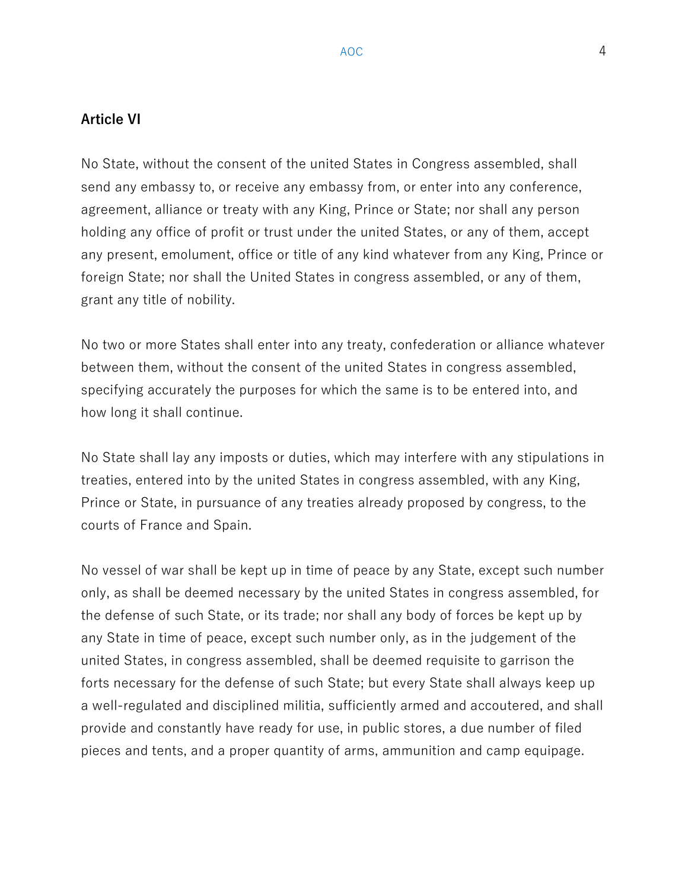### Article VI

No State, without the consent of the united States in Congress assembled, shall send any embassy to, or receive any embassy from, or enter into any conference, agreement, alliance or treaty with any King, Prince or State; nor shall any person holding any office of profit or trust under the united States, or any of them, accept any present, emolument, office or title of any kind whatever from any King, Prince or foreign State; nor shall the United States in congress assembled, or any of them, grant any title of nobility.

No two or more States shall enter into any treaty, confederation or alliance whatever between them, without the consent of the united States in congress assembled, specifying accurately the purposes for which the same is to be entered into, and how long it shall continue.

No State shall lay any imposts or duties, which may interfere with any stipulations in treaties, entered into by the united States in congress assembled, with any King, Prince or State, in pursuance of any treaties already proposed by congress, to the courts of France and Spain.

No vessel of war shall be kept up in time of peace by any State, except such number only, as shall be deemed necessary by the united States in congress assembled, for the defense of such State, or its trade; nor shall any body of forces be kept up by any State in time of peace, except such number only, as in the judgement of the united States, in congress assembled, shall be deemed requisite to garrison the forts necessary for the defense of such State; but every State shall always keep up a well-regulated and disciplined militia, sufficiently armed and accoutered, and shall provide and constantly have ready for use, in public stores, a due number of filed pieces and tents, and a proper quantity of arms, ammunition and camp equipage.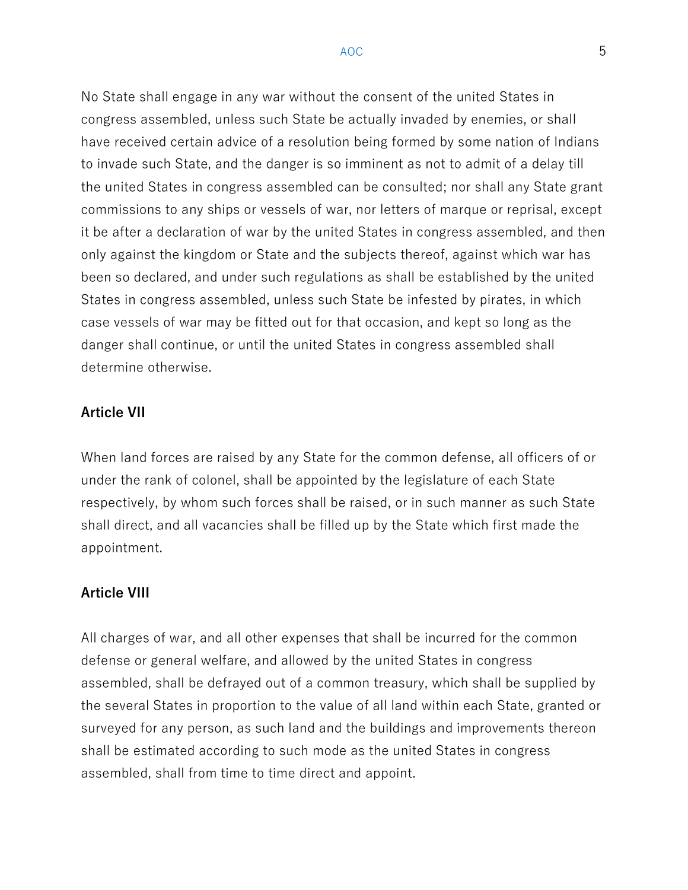No State shall engage in any war without the consent of the united States in congress assembled, unless such State be actually invaded by enemies, or shall have received certain advice of a resolution being formed by some nation of Indians to invade such State, and the danger is so imminent as not to admit of a delay till the united States in congress assembled can be consulted; nor shall any State grant commissions to any ships or vessels of war, nor letters of marque or reprisal, except it be after a declaration of war by the united States in congress assembled, and then only against the kingdom or State and the subjects thereof, against which war has been so declared, and under such regulations as shall be established by the united States in congress assembled, unless such State be infested by pirates, in which case vessels of war may be fitted out for that occasion, and kept so long as the danger shall continue, or until the united States in congress assembled shall determine otherwise.

#### Article VII

When land forces are raised by any State for the common defense, all officers of or under the rank of colonel, shall be appointed by the legislature of each State respectively, by whom such forces shall be raised, or in such manner as such State shall direct, and all vacancies shall be filled up by the State which first made the appointment.

### Article VIII

All charges of war, and all other expenses that shall be incurred for the common defense or general welfare, and allowed by the united States in congress assembled, shall be defrayed out of a common treasury, which shall be supplied by the several States in proportion to the value of all land within each State, granted or surveyed for any person, as such land and the buildings and improvements thereon shall be estimated according to such mode as the united States in congress assembled, shall from time to time direct and appoint.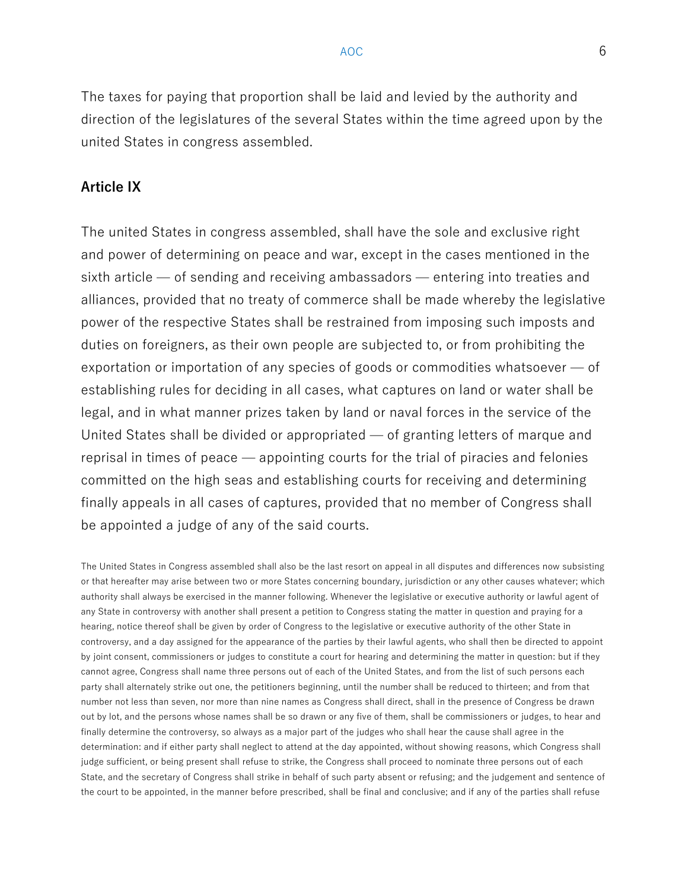The taxes for paying that proportion shall be laid and levied by the authority and direction of the legislatures of the several States within the time agreed upon by the united States in congress assembled.

### Article IX

The united States in congress assembled, shall have the sole and exclusive right and power of determining on peace and war, except in the cases mentioned in the sixth article — of sending and receiving ambassadors — entering into treaties and alliances, provided that no treaty of commerce shall be made whereby the legislative power of the respective States shall be restrained from imposing such imposts and duties on foreigners, as their own people are subjected to, or from prohibiting the exportation or importation of any species of goods or commodities whatsoever — of establishing rules for deciding in all cases, what captures on land or water shall be legal, and in what manner prizes taken by land or naval forces in the service of the United States shall be divided or appropriated — of granting letters of marque and reprisal in times of peace — appointing courts for the trial of piracies and felonies committed on the high seas and establishing courts for receiving and determining finally appeals in all cases of captures, provided that no member of Congress shall be appointed a judge of any of the said courts.

The United States in Congress assembled shall also be the last resort on appeal in all disputes and differences now subsisting or that hereafter may arise between two or more States concerning boundary, jurisdiction or any other causes whatever; which authority shall always be exercised in the manner following. Whenever the legislative or executive authority or lawful agent of any State in controversy with another shall present a petition to Congress stating the matter in question and praying for a hearing, notice thereof shall be given by order of Congress to the legislative or executive authority of the other State in controversy, and a day assigned for the appearance of the parties by their lawful agents, who shall then be directed to appoint by joint consent, commissioners or judges to constitute a court for hearing and determining the matter in question: but if they cannot agree, Congress shall name three persons out of each of the United States, and from the list of such persons each party shall alternately strike out one, the petitioners beginning, until the number shall be reduced to thirteen; and from that number not less than seven, nor more than nine names as Congress shall direct, shall in the presence of Congress be drawn out by lot, and the persons whose names shall be so drawn or any five of them, shall be commissioners or judges, to hear and finally determine the controversy, so always as a major part of the judges who shall hear the cause shall agree in the determination: and if either party shall neglect to attend at the day appointed, without showing reasons, which Congress shall judge sufficient, or being present shall refuse to strike, the Congress shall proceed to nominate three persons out of each State, and the secretary of Congress shall strike in behalf of such party absent or refusing; and the judgement and sentence of the court to be appointed, in the manner before prescribed, shall be final and conclusive; and if any of the parties shall refuse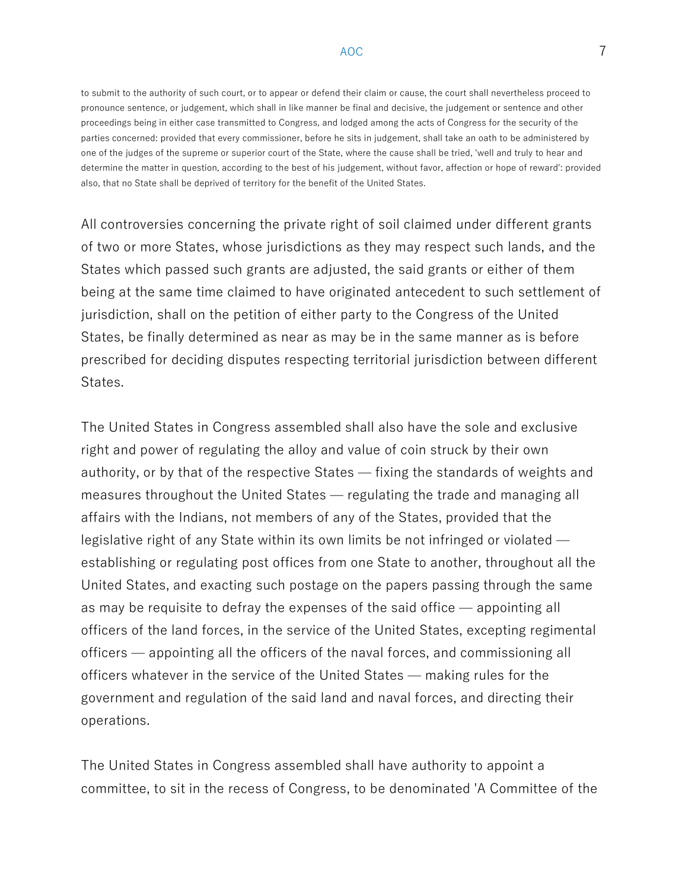to submit to the authority of such court, or to appear or defend their claim or cause, the court shall nevertheless proceed to pronounce sentence, or judgement, which shall in like manner be final and decisive, the judgement or sentence and other proceedings being in either case transmitted to Congress, and lodged among the acts of Congress for the security of the parties concerned: provided that every commissioner, before he sits in judgement, shall take an oath to be administered by one of the judges of the supreme or superior court of the State, where the cause shall be tried, 'well and truly to hear and determine the matter in question, according to the best of his judgement, without favor, affection or hope of reward': provided also, that no State shall be deprived of territory for the benefit of the United States.

All controversies concerning the private right of soil claimed under different grants of two or more States, whose jurisdictions as they may respect such lands, and the States which passed such grants are adjusted, the said grants or either of them being at the same time claimed to have originated antecedent to such settlement of jurisdiction, shall on the petition of either party to the Congress of the United States, be finally determined as near as may be in the same manner as is before prescribed for deciding disputes respecting territorial jurisdiction between different States.

The United States in Congress assembled shall also have the sole and exclusive right and power of regulating the alloy and value of coin struck by their own authority, or by that of the respective States — fixing the standards of weights and measures throughout the United States — regulating the trade and managing all affairs with the Indians, not members of any of the States, provided that the legislative right of any State within its own limits be not infringed or violated establishing or regulating post offices from one State to another, throughout all the United States, and exacting such postage on the papers passing through the same as may be requisite to defray the expenses of the said office — appointing all officers of the land forces, in the service of the United States, excepting regimental officers — appointing all the officers of the naval forces, and commissioning all officers whatever in the service of the United States — making rules for the government and regulation of the said land and naval forces, and directing their operations.

The United States in Congress assembled shall have authority to appoint a committee, to sit in the recess of Congress, to be denominated 'A Committee of the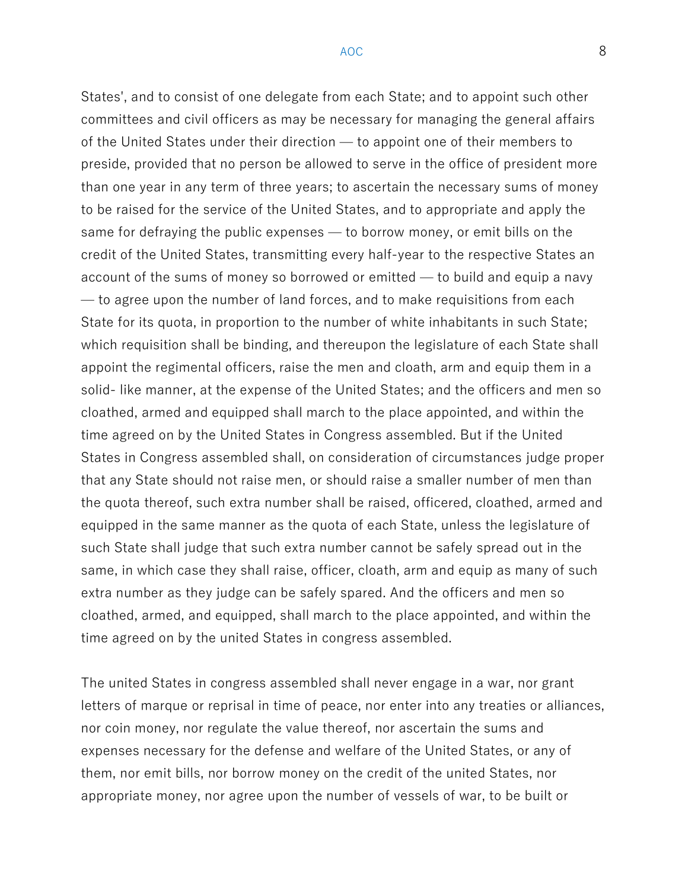States', and to consist of one delegate from each State; and to appoint such other committees and civil officers as may be necessary for managing the general affairs of the United States under their direction — to appoint one of their members to preside, provided that no person be allowed to serve in the office of president more than one year in any term of three years; to ascertain the necessary sums of money to be raised for the service of the United States, and to appropriate and apply the same for defraying the public expenses — to borrow money, or emit bills on the credit of the United States, transmitting every half-year to the respective States an account of the sums of money so borrowed or emitted — to build and equip a navy — to agree upon the number of land forces, and to make requisitions from each State for its quota, in proportion to the number of white inhabitants in such State; which requisition shall be binding, and thereupon the legislature of each State shall appoint the regimental officers, raise the men and cloath, arm and equip them in a solid- like manner, at the expense of the United States; and the officers and men so cloathed, armed and equipped shall march to the place appointed, and within the time agreed on by the United States in Congress assembled. But if the United States in Congress assembled shall, on consideration of circumstances judge proper that any State should not raise men, or should raise a smaller number of men than the quota thereof, such extra number shall be raised, officered, cloathed, armed and equipped in the same manner as the quota of each State, unless the legislature of such State shall judge that such extra number cannot be safely spread out in the same, in which case they shall raise, officer, cloath, arm and equip as many of such extra number as they judge can be safely spared. And the officers and men so cloathed, armed, and equipped, shall march to the place appointed, and within the time agreed on by the united States in congress assembled.

The united States in congress assembled shall never engage in a war, nor grant letters of marque or reprisal in time of peace, nor enter into any treaties or alliances, nor coin money, nor regulate the value thereof, nor ascertain the sums and expenses necessary for the defense and welfare of the United States, or any of them, nor emit bills, nor borrow money on the credit of the united States, nor appropriate money, nor agree upon the number of vessels of war, to be built or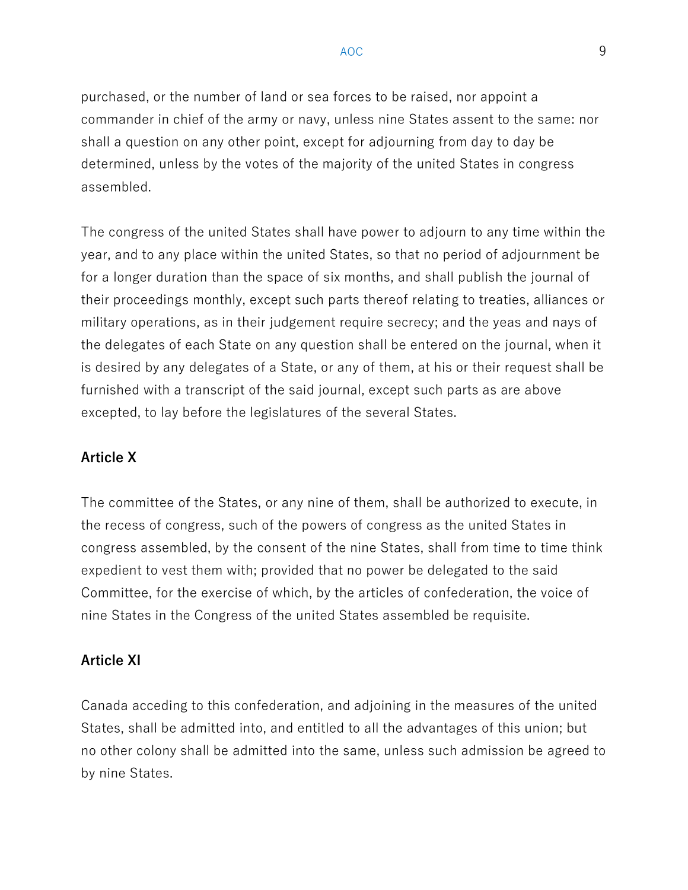purchased, or the number of land or sea forces to be raised, nor appoint a commander in chief of the army or navy, unless nine States assent to the same: nor shall a question on any other point, except for adjourning from day to day be determined, unless by the votes of the majority of the united States in congress assembled.

The congress of the united States shall have power to adjourn to any time within the year, and to any place within the united States, so that no period of adjournment be for a longer duration than the space of six months, and shall publish the journal of their proceedings monthly, except such parts thereof relating to treaties, alliances or military operations, as in their judgement require secrecy; and the yeas and nays of the delegates of each State on any question shall be entered on the journal, when it is desired by any delegates of a State, or any of them, at his or their request shall be furnished with a transcript of the said journal, except such parts as are above excepted, to lay before the legislatures of the several States.

#### Article X

The committee of the States, or any nine of them, shall be authorized to execute, in the recess of congress, such of the powers of congress as the united States in congress assembled, by the consent of the nine States, shall from time to time think expedient to vest them with; provided that no power be delegated to the said Committee, for the exercise of which, by the articles of confederation, the voice of nine States in the Congress of the united States assembled be requisite.

#### Article XI

Canada acceding to this confederation, and adjoining in the measures of the united States, shall be admitted into, and entitled to all the advantages of this union; but no other colony shall be admitted into the same, unless such admission be agreed to by nine States.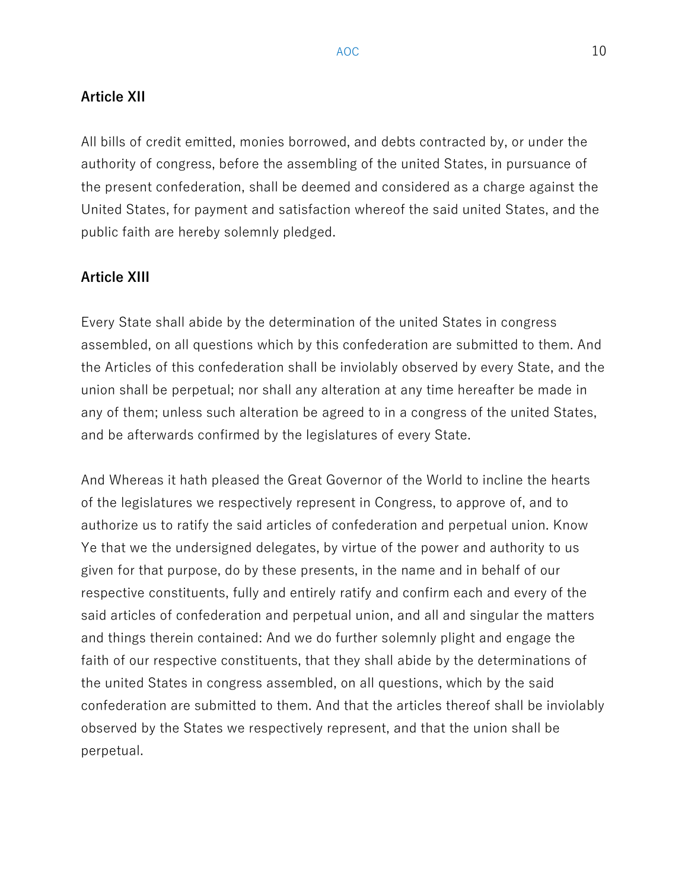### Article XII

All bills of credit emitted, monies borrowed, and debts contracted by, or under the authority of congress, before the assembling of the united States, in pursuance of the present confederation, shall be deemed and considered as a charge against the United States, for payment and satisfaction whereof the said united States, and the public faith are hereby solemnly pledged.

### Article XIII

Every State shall abide by the determination of the united States in congress assembled, on all questions which by this confederation are submitted to them. And the Articles of this confederation shall be inviolably observed by every State, and the union shall be perpetual; nor shall any alteration at any time hereafter be made in any of them; unless such alteration be agreed to in a congress of the united States, and be afterwards confirmed by the legislatures of every State.

And Whereas it hath pleased the Great Governor of the World to incline the hearts of the legislatures we respectively represent in Congress, to approve of, and to authorize us to ratify the said articles of confederation and perpetual union. Know Ye that we the undersigned delegates, by virtue of the power and authority to us given for that purpose, do by these presents, in the name and in behalf of our respective constituents, fully and entirely ratify and confirm each and every of the said articles of confederation and perpetual union, and all and singular the matters and things therein contained: And we do further solemnly plight and engage the faith of our respective constituents, that they shall abide by the determinations of the united States in congress assembled, on all questions, which by the said confederation are submitted to them. And that the articles thereof shall be inviolably observed by the States we respectively represent, and that the union shall be perpetual.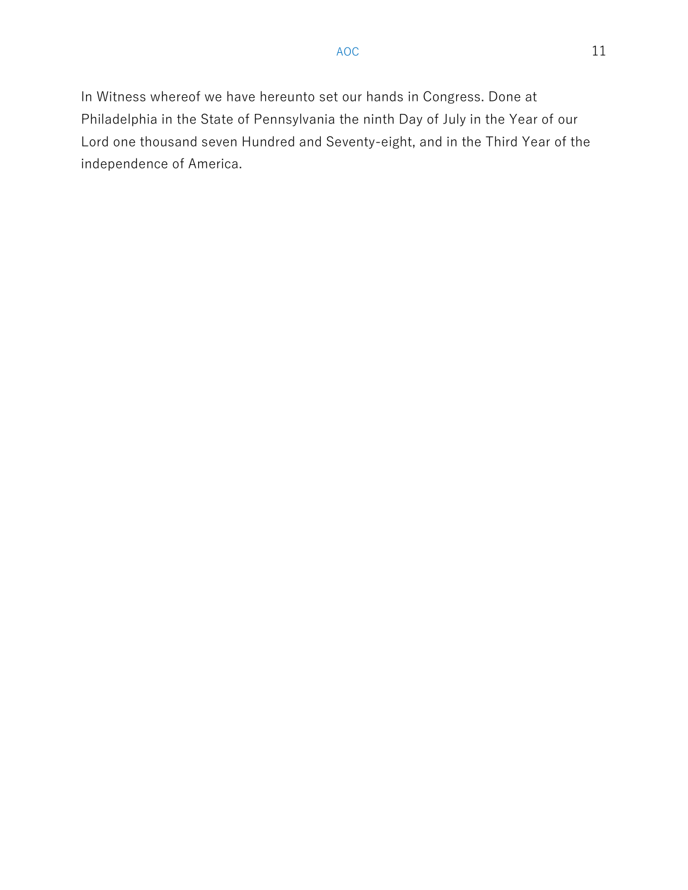In Witness whereof we have hereunto set our hands in Congress. Done at Philadelphia in the State of Pennsylvania the ninth Day of July in the Year of our Lord one thousand seven Hundred and Seventy-eight, and in the Third Year of the independence of America.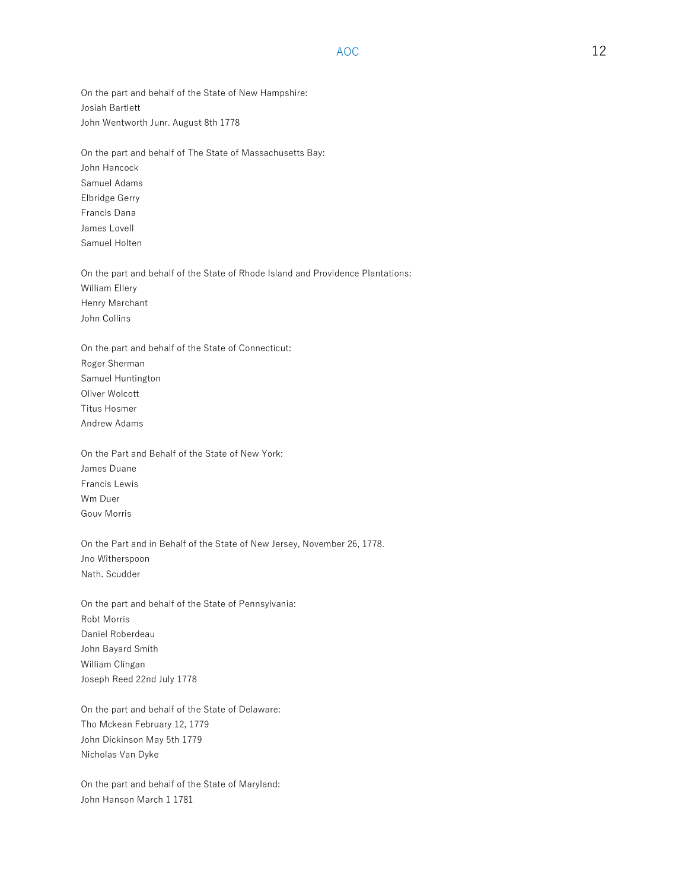$AOC$  and  $12$ 

On the part and behalf of the State of New Hampshire: Josiah Bartlett John Wentworth Junr. August 8th 1778

On the part and behalf of The State of Massachusetts Bay: John Hancock Samuel Adams Elbridge Gerry Francis Dana James Lovell Samuel Holten

On the part and behalf of the State of Rhode Island and Providence Plantations: William Ellery Henry Marchant John Collins

On the part and behalf of the State of Connecticut: Roger Sherman Samuel Huntington Oliver Wolcott Titus Hosmer Andrew Adams

On the Part and Behalf of the State of New York: James Duane Francis Lewis Wm Duer Gouv Morris

On the Part and in Behalf of the State of New Jersey, November 26, 1778. Jno Witherspoon Nath. Scudder

On the part and behalf of the State of Pennsylvania: Robt Morris Daniel Roberdeau John Bayard Smith William Clingan Joseph Reed 22nd July 1778

On the part and behalf of the State of Delaware: Tho Mckean February 12, 1779 John Dickinson May 5th 1779 Nicholas Van Dyke

On the part and behalf of the State of Maryland: John Hanson March 1 1781